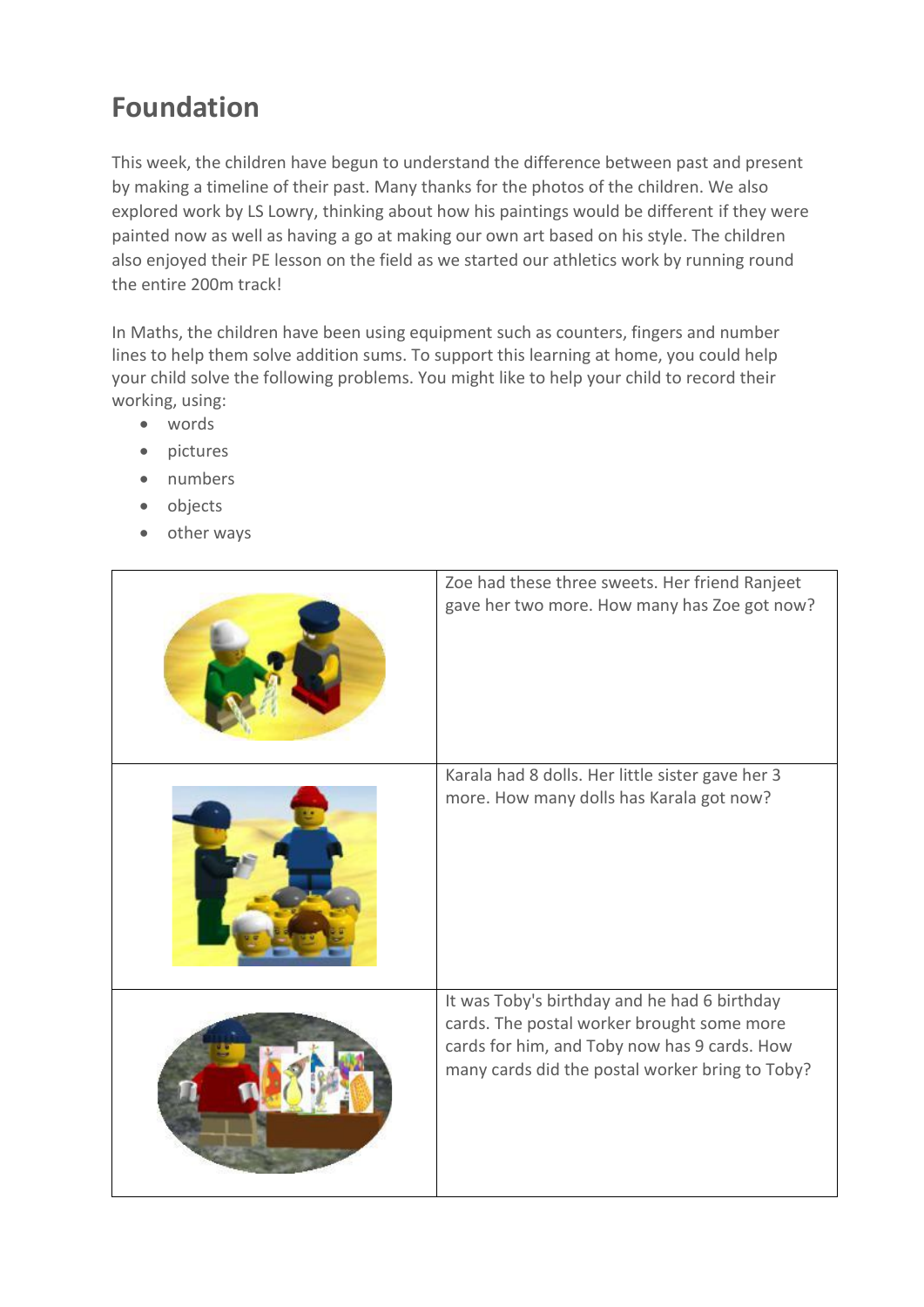## **Foundation**

This week, the children have begun to understand the difference between past and present by making a timeline of their past. Many thanks for the photos of the children. We also explored work by LS Lowry, thinking about how his paintings would be different if they were painted now as well as having a go at making our own art based on his style. The children also enjoyed their PE lesson on the field as we started our athletics work by running round the entire 200m track!

In Maths, the children have been using equipment such as counters, fingers and number lines to help them solve addition sums. To support this learning at home, you could help your child solve the following problems. You might like to help your child to record their working, using:

- words
- pictures
- numbers
- objects
- other ways

| Zoe had these three sweets. Her friend Ranjeet<br>gave her two more. How many has Zoe got now?                                                                                                |
|-----------------------------------------------------------------------------------------------------------------------------------------------------------------------------------------------|
| Karala had 8 dolls. Her little sister gave her 3<br>more. How many dolls has Karala got now?                                                                                                  |
| It was Toby's birthday and he had 6 birthday<br>cards. The postal worker brought some more<br>cards for him, and Toby now has 9 cards. How<br>many cards did the postal worker bring to Toby? |